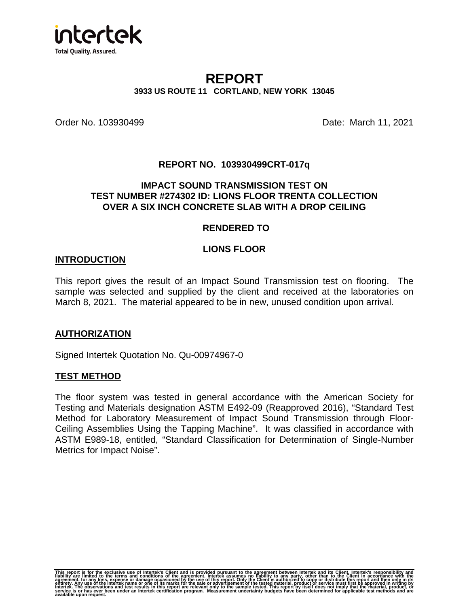

# **REPORT 3933 US ROUTE 11 CORTLAND, NEW YORK 13045**

Order No. 103930499 **Date: March 11, 2021** 

### **REPORT NO. 103930499CRT-017q**

### **IMPACT SOUND TRANSMISSION TEST ON TEST NUMBER #274302 ID: LIONS FLOOR TRENTA COLLECTION OVER A SIX INCH CONCRETE SLAB WITH A DROP CEILING**

#### **RENDERED TO**

### **LIONS FLOOR**

#### **INTRODUCTION**

This report gives the result of an Impact Sound Transmission test on flooring. The sample was selected and supplied by the client and received at the laboratories on March 8, 2021. The material appeared to be in new, unused condition upon arrival.

### **AUTHORIZATION**

Signed Intertek Quotation No. Qu-00974967-0

### **TEST METHOD**

The floor system was tested in general accordance with the American Society for Testing and Materials designation ASTM E492-09 (Reapproved 2016), "Standard Test Method for Laboratory Measurement of Impact Sound Transmission through Floor-Ceiling Assemblies Using the Tapping Machine". It was classified in accordance with ASTM E989-18, entitled, "Standard Classification for Determination of Single-Number Metrics for Impact Noise".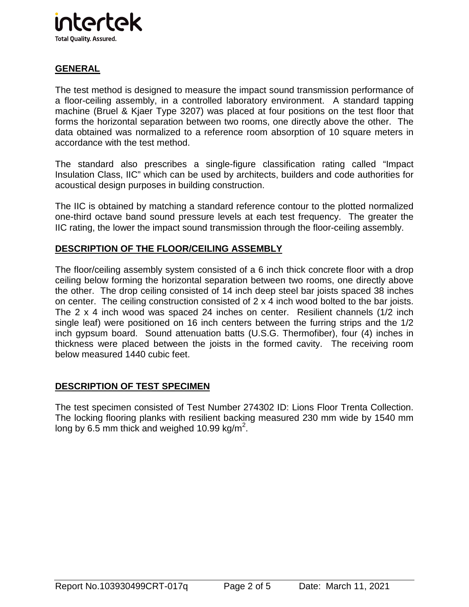

# **GENERAL**

The test method is designed to measure the impact sound transmission performance of a floor-ceiling assembly, in a controlled laboratory environment. A standard tapping machine (Bruel & Kjaer Type 3207) was placed at four positions on the test floor that forms the horizontal separation between two rooms, one directly above the other. The data obtained was normalized to a reference room absorption of 10 square meters in accordance with the test method.

The standard also prescribes a single-figure classification rating called "Impact Insulation Class, IIC" which can be used by architects, builders and code authorities for acoustical design purposes in building construction.

The IIC is obtained by matching a standard reference contour to the plotted normalized one-third octave band sound pressure levels at each test frequency. The greater the IIC rating, the lower the impact sound transmission through the floor-ceiling assembly.

## **DESCRIPTION OF THE FLOOR/CEILING ASSEMBLY**

The floor/ceiling assembly system consisted of a 6 inch thick concrete floor with a drop ceiling below forming the horizontal separation between two rooms, one directly above the other. The drop ceiling consisted of 14 inch deep steel bar joists spaced 38 inches on center. The ceiling construction consisted of 2 x 4 inch wood bolted to the bar joists. The 2 x 4 inch wood was spaced 24 inches on center. Resilient channels (1/2 inch single leaf) were positioned on 16 inch centers between the furring strips and the 1/2 inch gypsum board. Sound attenuation batts (U.S.G. Thermofiber), four (4) inches in thickness were placed between the joists in the formed cavity. The receiving room below measured 1440 cubic feet.

### **DESCRIPTION OF TEST SPECIMEN**

The test specimen consisted of Test Number 274302 ID: Lions Floor Trenta Collection. The locking flooring planks with resilient backing measured 230 mm wide by 1540 mm long by 6.5 mm thick and weighed 10.99 kg/m<sup>2</sup>.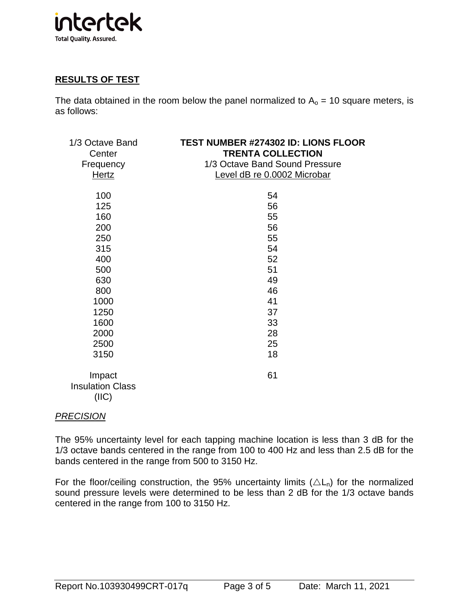

## **RESULTS OF TEST**

The data obtained in the room below the panel normalized to  $A_0 = 10$  square meters, is as follows:

| 1/3 Octave Band<br>Center<br>Frequency<br><u>Hertz</u> | <b>TEST NUMBER #274302 ID: LIONS FLOOR</b><br><b>TRENTA COLLECTION</b><br>1/3 Octave Band Sound Pressure<br>Level dB re 0.0002 Microbar |
|--------------------------------------------------------|-----------------------------------------------------------------------------------------------------------------------------------------|
| 100                                                    | 54                                                                                                                                      |
| 125                                                    | 56                                                                                                                                      |
| 160                                                    | 55                                                                                                                                      |
| 200                                                    | 56                                                                                                                                      |
| 250                                                    | 55                                                                                                                                      |
| 315                                                    | 54                                                                                                                                      |
| 400                                                    | 52                                                                                                                                      |
| 500                                                    | 51                                                                                                                                      |
| 630                                                    | 49                                                                                                                                      |
| 800                                                    | 46                                                                                                                                      |
| 1000                                                   | 41                                                                                                                                      |
| 1250                                                   | 37                                                                                                                                      |
| 1600                                                   | 33                                                                                                                                      |
| 2000                                                   | 28                                                                                                                                      |
| 2500                                                   | 25                                                                                                                                      |
| 3150                                                   | 18                                                                                                                                      |
| Impact<br><b>Insulation Class</b><br>(III)             | 61                                                                                                                                      |

### PRECISION

The 95% uncertainty level for each tapping machine location is less than 3 dB for the 1/3 octave bands centered in the range from 100 to 400 Hz and less than 2.5 dB for the bands centered in the range from 500 to 3150 Hz.

For the floor/ceiling construction, the 95% uncertainty limits  $(\triangle L_n)$  for the normalized sound pressure levels were determined to be less than 2 dB for the 1/3 octave bands centered in the range from 100 to 3150 Hz.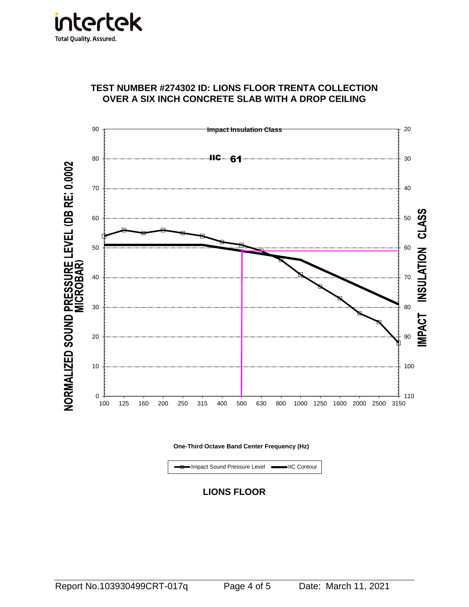

## **TEST NUMBER #274302 ID: LIONS FLOOR TRENTA COLLECTION OVER A SIX INCH CONCRETE SLAB WITH A DROP CEILING**



**One-Third Octave Band Center Frequency (Hz)**

Impact Sound Pressure Level **IIIC Contour**